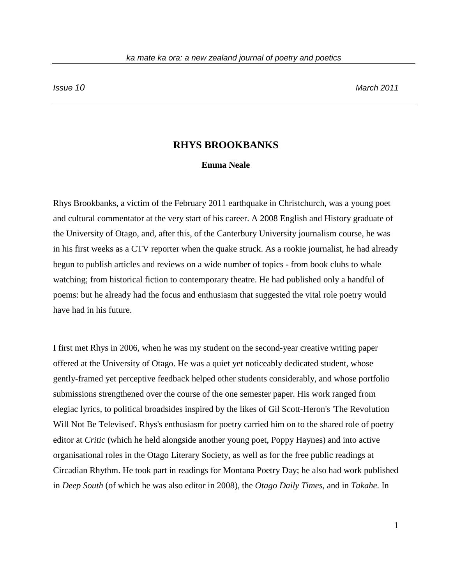## **RHYS BROOKBANKS**

## **Emma Neale**

Rhys Brookbanks, a victim of the February 2011 earthquake in Christchurch, was a young poet and cultural commentator at the very start of his career. A 2008 English and History graduate of the University of Otago, and, after this, of the Canterbury University journalism course, he was in his first weeks as a CTV reporter when the quake struck. As a rookie journalist, he had already begun to publish articles and reviews on a wide number of topics - from book clubs to whale watching; from historical fiction to contemporary theatre. He had published only a handful of poems: but he already had the focus and enthusiasm that suggested the vital role poetry would have had in his future.

I first met Rhys in 2006, when he was my student on the second-year creative writing paper offered at the University of Otago. He was a quiet yet noticeably dedicated student, whose gently-framed yet perceptive feedback helped other students considerably, and whose portfolio submissions strengthened over the course of the one semester paper. His work ranged from elegiac lyrics, to political broadsides inspired by the likes of Gil Scott-Heron's 'The Revolution Will Not Be Televised'. Rhys's enthusiasm for poetry carried him on to the shared role of poetry editor at *Critic* (which he held alongside another young poet, Poppy Haynes) and into active organisational roles in the Otago Literary Society, as well as for the free public readings at Circadian Rhythm. He took part in readings for Montana Poetry Day; he also had work published in *Deep South* (of which he was also editor in 2008), the *Otago Daily Times*, and in *Takahe*. In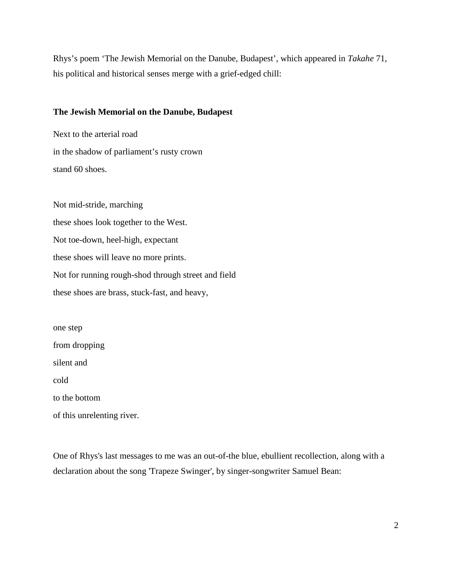Rhys's poem 'The Jewish Memorial on the Danube, Budapest', which appeared in *Takahe* 71, his political and historical senses merge with a grief-edged chill:

## **The Jewish Memorial on the Danube, Budapest**

Next to the arterial road in the shadow of parliament's rusty crown stand 60 shoes.

Not mid-stride, marching these shoes look together to the West. Not toe-down, heel-high, expectant these shoes will leave no more prints. Not for running rough-shod through street and field these shoes are brass, stuck-fast, and heavy,

one step from dropping silent and cold to the bottom

of this unrelenting river.

One of Rhys's last messages to me was an out-of-the blue, ebullient recollection, along with a declaration about the song 'Trapeze Swinger', by singer-songwriter Samuel Bean: